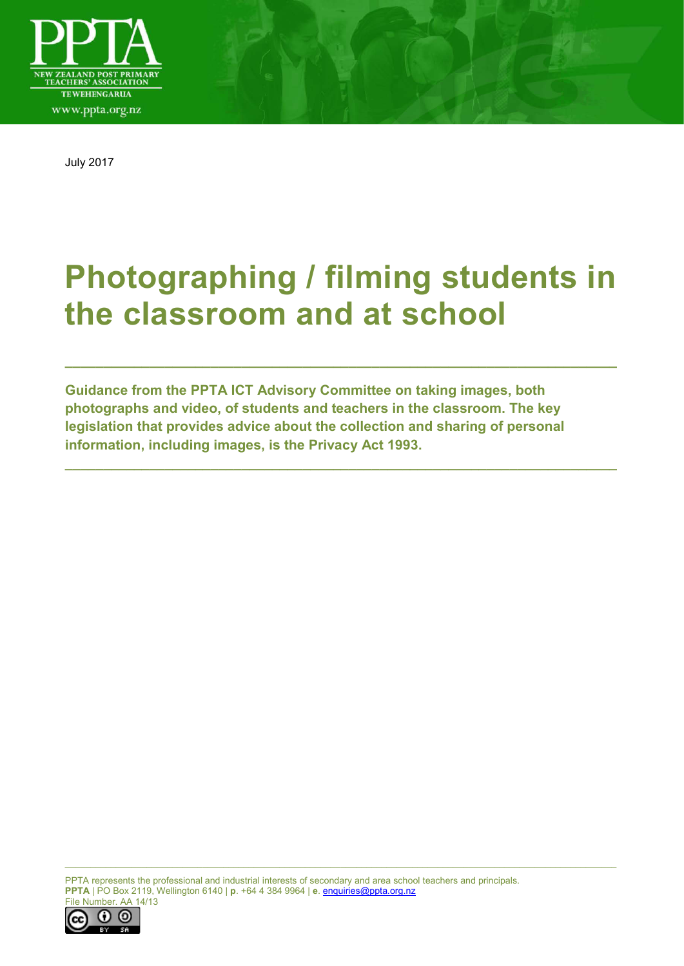

July 2017

# **Photographing / filming students in the classroom and at school**

**\_\_\_\_\_\_\_\_\_\_\_\_\_\_\_\_\_\_\_\_\_\_\_\_\_\_\_\_\_\_\_\_\_\_\_\_\_\_\_\_\_\_\_\_\_\_\_\_\_\_\_\_\_\_\_\_\_\_\_\_\_\_\_\_\_\_\_\_\_\_\_\_**

**\_\_\_\_\_\_\_\_\_\_\_\_\_\_\_\_\_\_\_\_\_\_\_\_\_\_\_\_\_\_\_\_\_\_\_\_\_\_\_\_\_\_\_\_\_\_\_\_\_\_\_\_\_\_\_\_\_\_\_\_\_\_\_\_\_\_\_\_\_\_\_\_**

**Guidance from the PPTA ICT Advisory Committee on taking images, both photographs and video, of students and teachers in the classroom. The key legislation that provides advice about the collection and sharing of personal information, including images, is the Privacy Act 1993.** 

PPTA represents the professional and industrial interests of secondary and area school teachers and principals. **PPTA** | PO Box 2119, Wellington 6140 | **p**. +64 4 384 9964 | **e**. [enquiries@ppta.org.nz](mailto:enquiries@ppta.org.nz) File Number. AA 14/13

\_\_\_\_\_\_\_\_\_\_\_\_\_\_\_\_\_\_\_\_\_\_\_\_\_\_\_\_\_\_\_\_\_\_\_\_\_\_\_\_\_\_\_\_\_\_\_\_\_\_\_\_\_\_\_\_\_\_\_\_\_\_\_\_\_\_\_\_\_\_\_\_\_\_\_\_\_\_\_\_\_\_\_\_\_\_\_\_\_\_\_\_\_\_\_\_\_\_\_\_\_\_\_\_\_\_\_\_

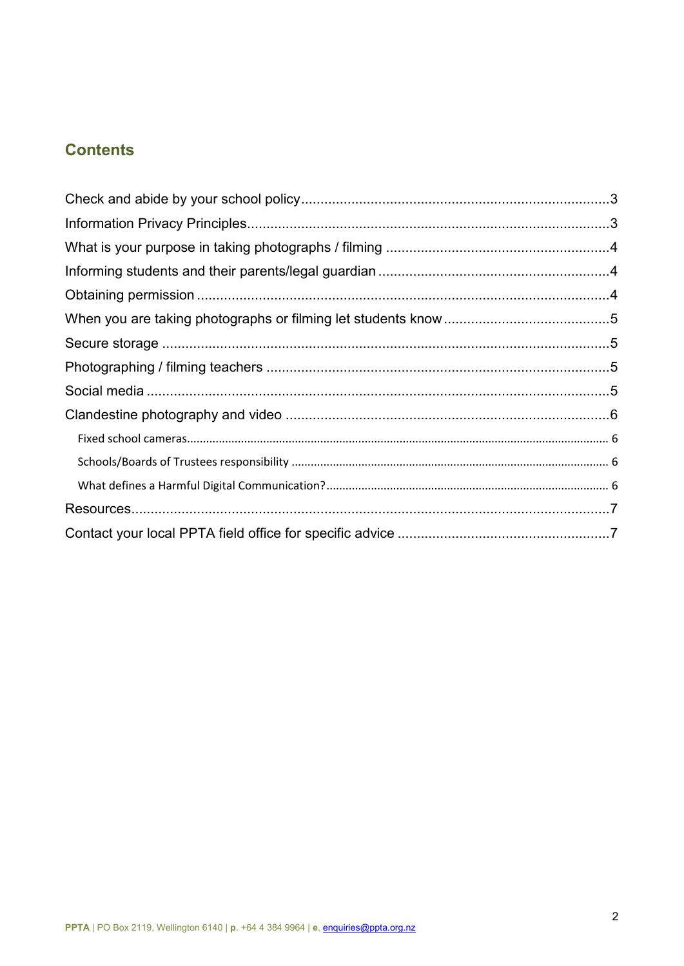# **Contents**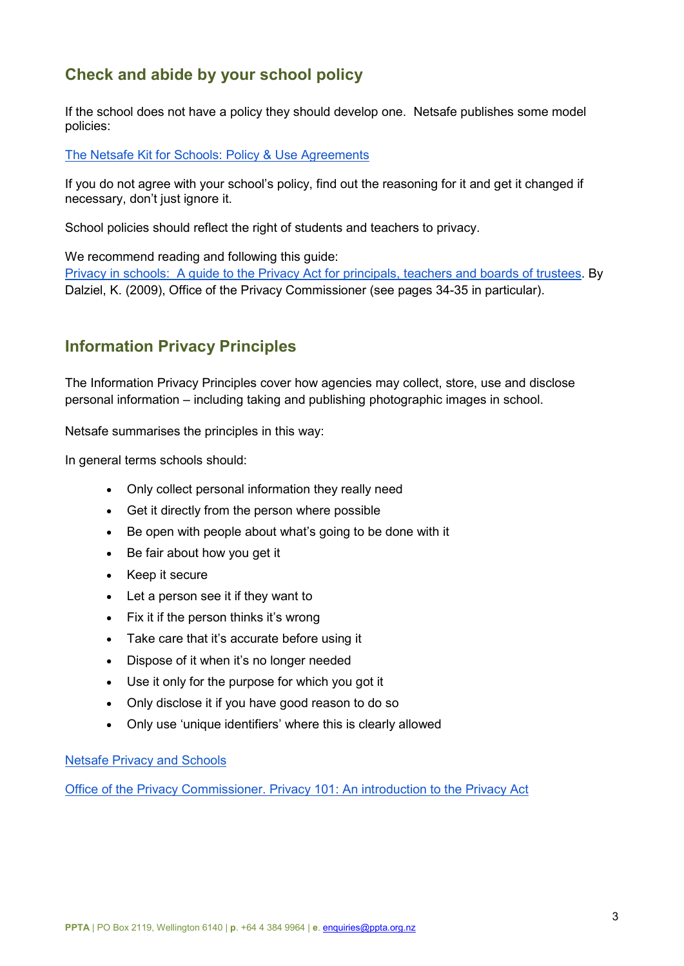# <span id="page-2-0"></span>**Check and abide by your school policy**

If the school does not have a policy they should develop one. Netsafe publishes some model policies:

[The Netsafe Kit for Schools: Policy & Use Agreements](https://www.netsafe.org.nz/the-kit/policy-and-use-agreements) 

If you do not agree with your school's policy, find out the reasoning for it and get it changed if necessary, don't just ignore it.

School policies should reflect the right of students and teachers to privacy.

We recommend reading and following this guide:

[Privacy in schools: A guide to the Privacy Act for principals, teachers and boards of trustees.](https://www.privacy.org.nz/assets/Files/Brochures-and-pamphlets-and-pubs/Privacy-in-Schools-September-2009.pdf) By Dalziel, K. (2009), Office of the Privacy Commissioner (see pages 34-35 in particular).

## <span id="page-2-1"></span>**Information Privacy Principles**

The Information Privacy Principles cover how agencies may collect, store, use and disclose personal information – including taking and publishing photographic images in school.

Netsafe summarises the principles in this way:

In general terms schools should:

- Only collect personal information they really need
- Get it directly from the person where possible
- Be open with people about what's going to be done with it
- Be fair about how you get it
- Keep it secure
- Let a person see it if they want to
- Fix it if the person thinks it's wrong
- Take care that it's accurate before using it
- Dispose of it when it's no longer needed
- Use it only for the purpose for which you got it
- Only disclose it if you have good reason to do so
- Only use 'unique identifiers' where this is clearly allowed

[Netsafe Privacy and Schools](https://www.netsafe.org.nz/privacy-and-schools/) 

[Office of the Privacy Commissioner. Privacy 101: An introduction to the Privacy Act](https://www.privacy.org.nz/assets/Files/Online-elearning-privacy-training/Privacy-101-workbook-PARTICIPANT-17Dec15-Current-Version.pdf)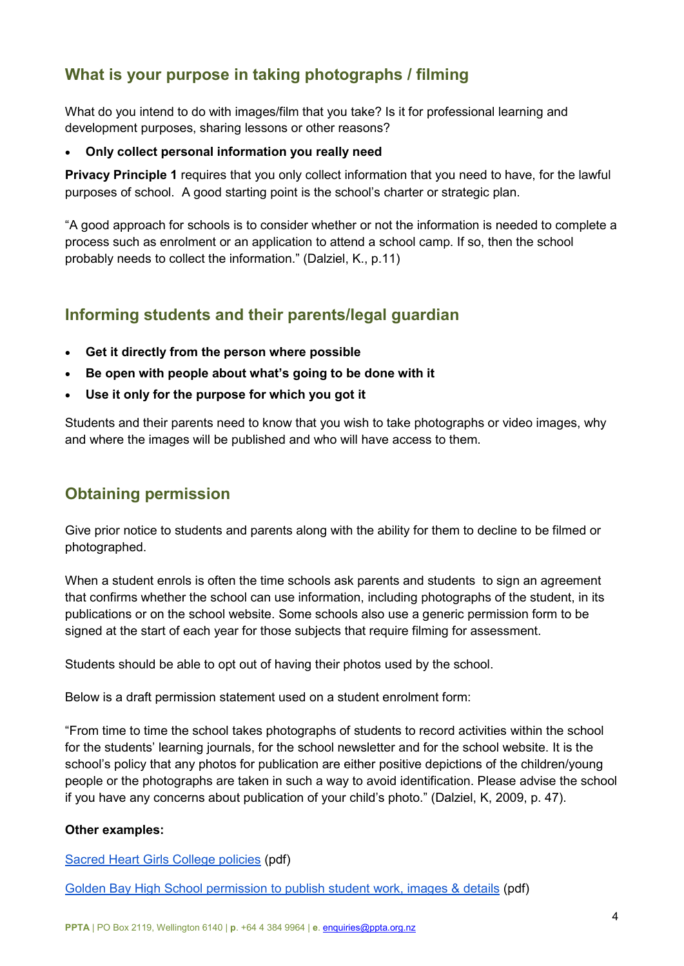# <span id="page-3-0"></span>**What is your purpose in taking photographs / filming**

What do you intend to do with images/film that you take? Is it for professional learning and development purposes, sharing lessons or other reasons?

#### • **Only collect personal information you really need**

**Privacy Principle 1** requires that you only collect information that you need to have, for the lawful purposes of school. A good starting point is the school's charter or strategic plan.

"A good approach for schools is to consider whether or not the information is needed to complete a process such as enrolment or an application to attend a school camp. If so, then the school probably needs to collect the information." (Dalziel, K., p.11)

# <span id="page-3-1"></span>**Informing students and their parents/legal guardian**

- **Get it directly from the person where possible**
- **Be open with people about what's going to be done with it**
- **Use it only for the purpose for which you got it**

Students and their parents need to know that you wish to take photographs or video images, why and where the images will be published and who will have access to them.

## <span id="page-3-2"></span>**Obtaining permission**

Give prior notice to students and parents along with the ability for them to decline to be filmed or photographed.

When a student enrols is often the time schools ask parents and students to sign an agreement that confirms whether the school can use information, including photographs of the student, in its publications or on the school website. Some schools also use a generic permission form to be signed at the start of each year for those subjects that require filming for assessment.

Students should be able to opt out of having their photos used by the school.

Below is a draft permission statement used on a student enrolment form:

"From time to time the school takes photographs of students to record activities within the school for the students' learning journals, for the school newsletter and for the school website. It is the school's policy that any photos for publication are either positive depictions of the children/young people or the photographs are taken in such a way to avoid identification. Please advise the school if you have any concerns about publication of your child's photo." (Dalziel, K, 2009, p. 47).

#### **Other examples:**

[Sacred Heart Girls College policies](http://shgcham.school.nz/cms/wp-content/uploads/2017/05/Policies-as-9-May.pdf) (pdf)

[Golden Bay High School permission to publish student work, images & details](http://www.gbh.school.nz/uploads/1/2/4/1/12418805/publishing_student_work.pdf) (pdf)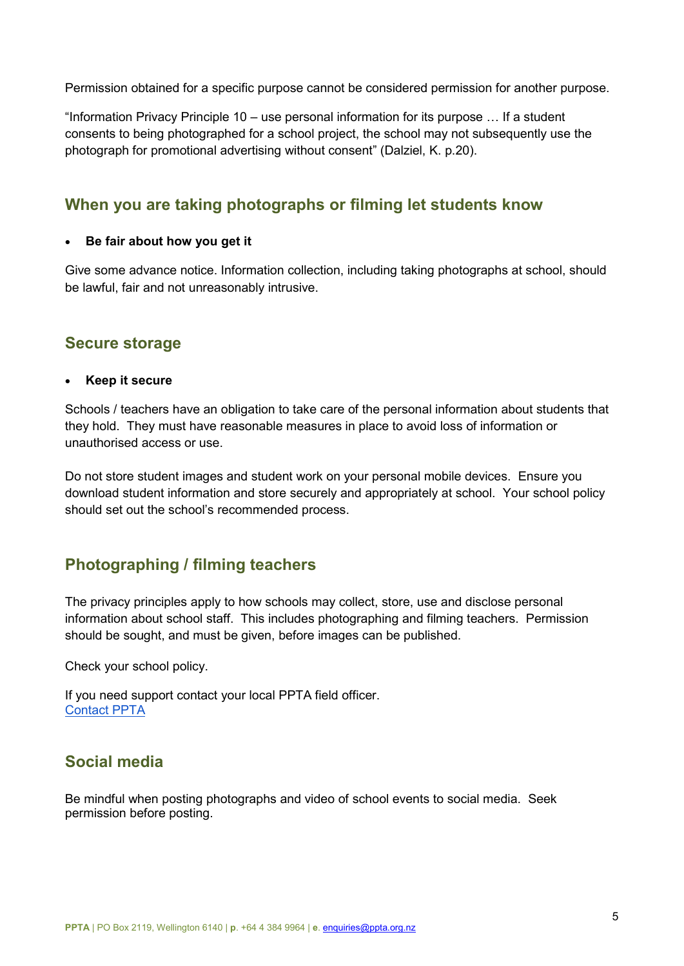Permission obtained for a specific purpose cannot be considered permission for another purpose.

"Information Privacy Principle 10 – use personal information for its purpose … If a student consents to being photographed for a school project, the school may not subsequently use the photograph for promotional advertising without consent" (Dalziel, K. p.20).

## <span id="page-4-0"></span>**When you are taking photographs or filming let students know**

#### • **Be fair about how you get it**

Give some advance notice. Information collection, including taking photographs at school, should be lawful, fair and not unreasonably intrusive.

## <span id="page-4-1"></span>**Secure storage**

#### • **Keep it secure**

Schools / teachers have an obligation to take care of the personal information about students that they hold. They must have reasonable measures in place to avoid loss of information or unauthorised access or use.

Do not store student images and student work on your personal mobile devices. Ensure you download student information and store securely and appropriately at school. Your school policy should set out the school's recommended process.

## <span id="page-4-2"></span>**Photographing / filming teachers**

The privacy principles apply to how schools may collect, store, use and disclose personal information about school staff. This includes photographing and filming teachers. Permission should be sought, and must be given, before images can be published.

Check your school policy.

If you need support contact your local PPTA field officer. [Contact PPTA](http://ppta.org.nz/contact-us/contact-your-local-ppta-field-office/)

## <span id="page-4-3"></span>**Social media**

Be mindful when posting photographs and video of school events to social media. Seek permission before posting.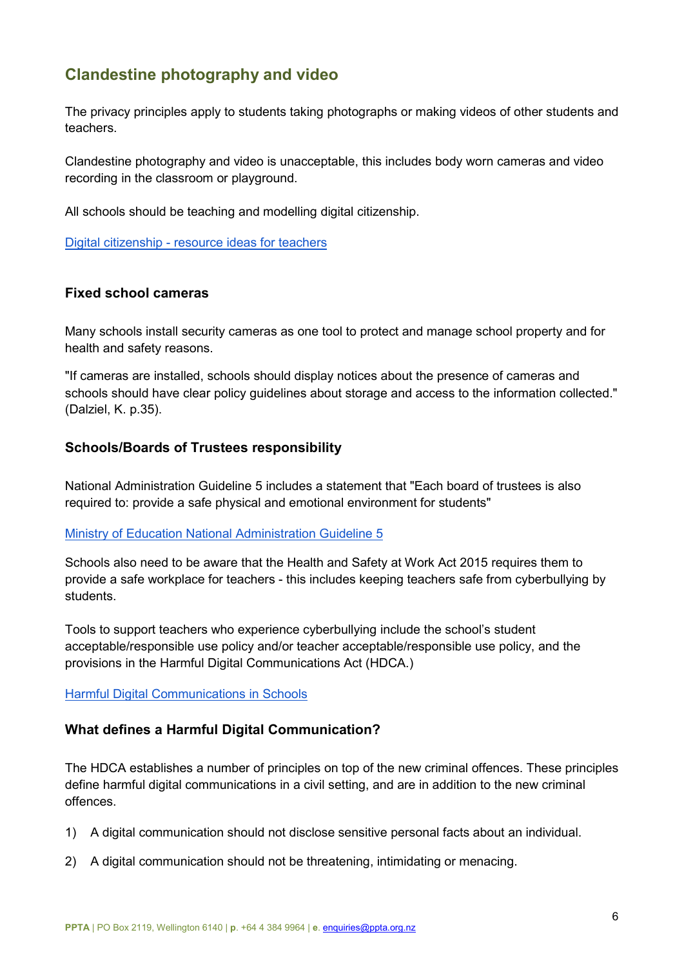# <span id="page-5-0"></span>**Clandestine photography and video**

The privacy principles apply to students taking photographs or making videos of other students and teachers.

Clandestine photography and video is unacceptable, this includes body worn cameras and video recording in the classroom or playground.

All schools should be teaching and modelling digital citizenship.

[Digital citizenship - resource ideas for teachers](http://ppta.org.nz/publication-library/digital-citizenship-resource-ideas-for-teachers/)

## <span id="page-5-1"></span>**Fixed school cameras**

Many schools install security cameras as one tool to protect and manage school property and for health and safety reasons.

"If cameras are installed, schools should display notices about the presence of cameras and schools should have clear policy guidelines about storage and access to the information collected." (Dalziel, K. p.35).

## <span id="page-5-2"></span>**Schools/Boards of Trustees responsibility**

National Administration Guideline 5 includes a statement that "Each board of trustees is also required to: provide a safe physical and emotional environment for students"

#### [Ministry of Education National Administration Guideline 5](https://education.govt.nz/ministry-of-education/legislation/nags/#NAG5)

Schools also need to be aware that the Health and Safety at Work Act 2015 requires them to provide a safe workplace for teachers - this includes keeping teachers safe from cyberbullying by students.

Tools to support teachers who experience cyberbullying include the school's student acceptable/responsible use policy and/or teacher acceptable/responsible use policy, and the provisions in the Harmful Digital Communications Act (HDCA.)

<span id="page-5-3"></span>[Harmful Digital Communications in Schools](https://www.netsafe.org.nz/hdc-in-schools/)

## **[What defines a Harmful Digital Communication?](https://privacy.org.nz/news-and-publications/guidance-resources/hdca-faqs/#related-issues%20)**

The HDCA establishes a number of principles on top of the new criminal offences. These principles define harmful digital communications in a civil setting, and are in addition to the new criminal offences.

- 1) A digital communication should not disclose sensitive personal facts about an individual.
- 2) A digital communication should not be threatening, intimidating or menacing.